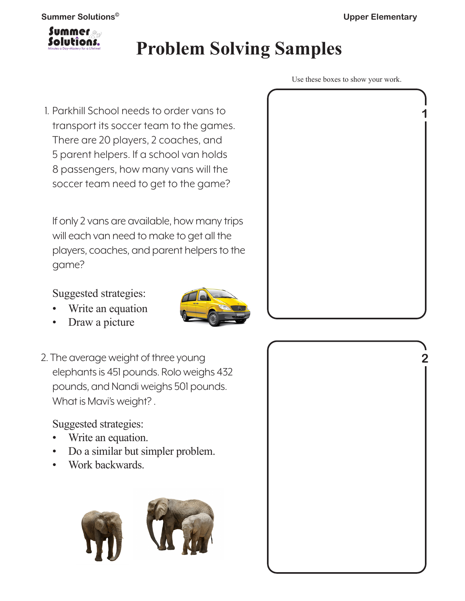

# **Problem Solving Samples**

1. Parkhill School needs to order vans to transport its soccer team to the games. There are 20 players, 2 coaches, and 5 parent helpers. If a school van holds 8 passengers, how many vans will the soccer team need to get to the game?

If only 2 vans are available, how many trips will each van need to make to get all the players, coaches, and parent helpers to the game?

Suggested strategies:

- Write an equation
- Draw a picture
- 2. The average weight of three young elephants is 451 pounds. Rolo weighs 432 pounds, and Nandi weighs 501 pounds. What is Mavi's weight? .

Suggested strategies:

- Write an equation.
- Do a similar but simpler problem.
- Work backwards.







Use these boxes to show your work.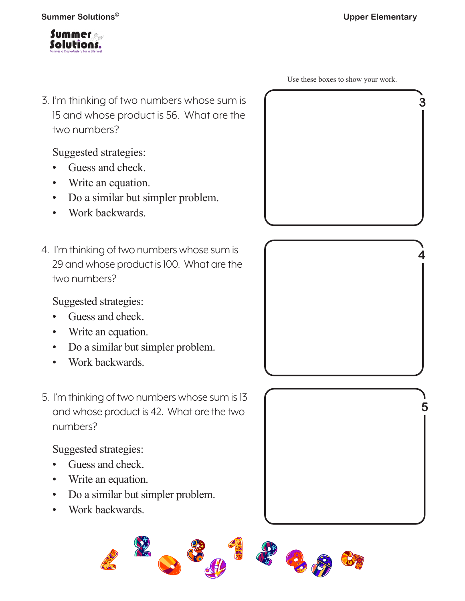

3. I'm thinking of two numbers whose sum is 15 and whose product is 56. What are the two numbers?

Suggested strategies:

- Guess and check.
- Write an equation.
- Do a similar but simpler problem.
- Work backwards.
- 4. I'm thinking of two numbers whose sum is 29 and whose product is 100. What are the two numbers?

Suggested strategies:

- Guess and check.
- Write an equation.
- Do a similar but simpler problem.
- Work backwards.
- 5. I'm thinking of two numbers whose sum is 13 and whose product is 42. What are the two numbers?

Suggested strategies:

- Guess and check.
- Write an equation.
- Do a similar but simpler problem.
- Work backwards.







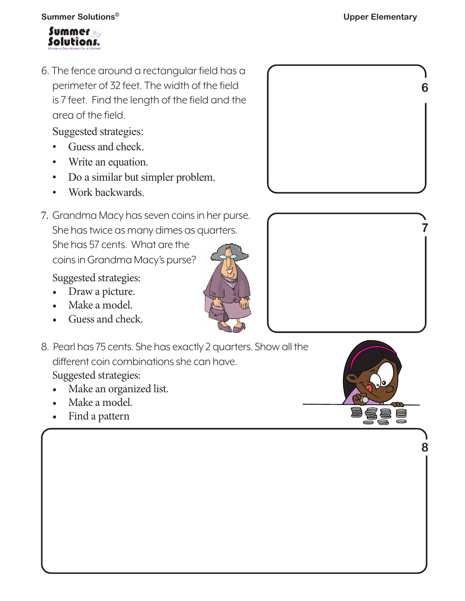

6. The fence around a rectangular field has a perimeter of 32 feet. The width of the field is 7 feet. Find the length of the field and the area of the field.

Suggested strategies:

- Guess and check.
- Write an equation.
- Do a similar but simpler problem.
- Work backwards.
- 7. Grandma Macy has seven coins in her purse. She has twice as many dimes as quarters. She has 57 cents. What are the coins in Grandma Macy's purse?

Suggested strategies:

- Draw a picture.
- Make a model.
- Guess and check.
- 8. Pearl has 75 cents. She has exactly 2 quarters. Show all the different coin combinations she can have. Suggested strategies:
	- Make an organized list.
	- Make a model.
	- Find a pattern





**8**

S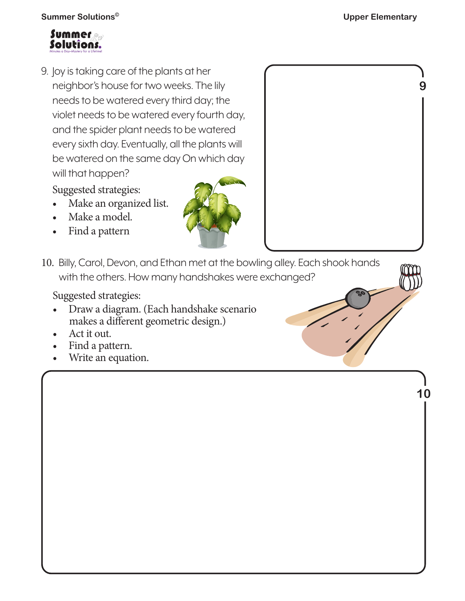**9**

**10**

**Summer Solutions© Upper Elementary**



9. Joy is taking care of the plants at her neighbor's house for two weeks. The lily needs to be watered every third day; the violet needs to be watered every fourth day, and the spider plant needs to be watered every sixth day. Eventually, all the plants will be watered on the same day On which day will that happen?

Suggested strategies:

- Make an organized list.
- Make a model.
- Find a pattern



10. Billy, Carol, Devon, and Ethan met at the bowling alley. Each shook hands with the others. How many handshakes were exchanged?

Suggested strategies:

- Draw a diagram. (Each handshake scenario makes a different geometric design.)
- Act it out.
- Find a pattern.
- Write an equation.

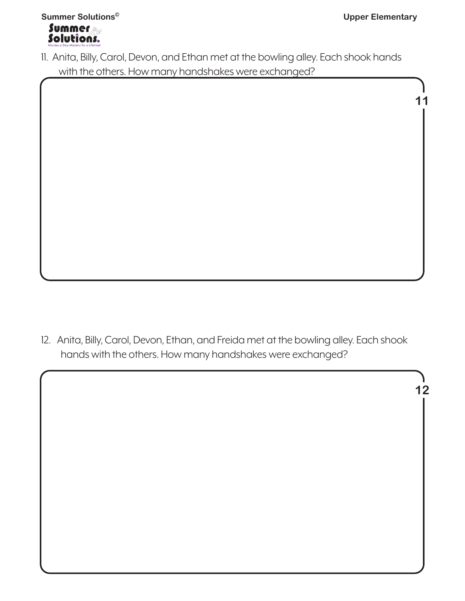**11**



11. Anita, Billy, Carol, Devon, and Ethan met at the bowling alley. Each shook hands with the others. How many handshakes were exchanged?

12. Anita, Billy, Carol, Devon, Ethan, and Freida met at the bowling alley. Each shook hands with the others. How many handshakes were exchanged?

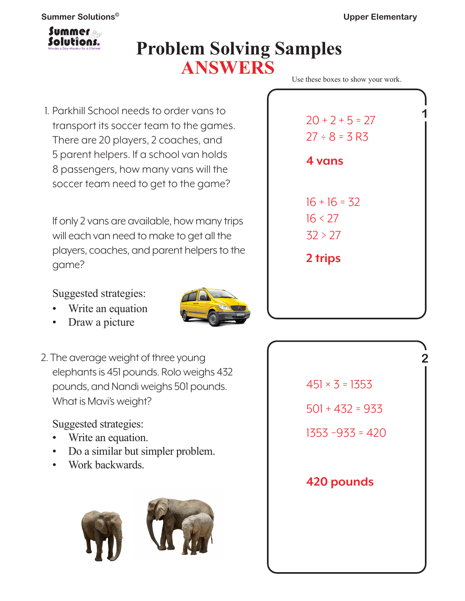

## **Problem Solving Samples ANSWERS**

1. Parkhill School needs to order vans to transport its soccer team to the games. There are 20 players, 2 coaches, and 5 parent helpers. If a school van holds 8 passengers, how many vans will the soccer team need to get to the game?

If only 2 vans are available, how many trips will each van need to make to get all the players, coaches, and parent helpers to the game?

Suggested strategies:

- Write an equation
- Draw a picture
- 2. The average weight of three young elephants is 451 pounds. Rolo weighs 432 pounds, and Nandi weighs 501 pounds. What is Mavi's weight?

Suggested strategies:

- Write an equation.
- Do a similar but simpler problem.
- Work backwards.



| $20 + 2 + 5 = 27$<br>$27 \div 8 = 3 R3$ |  |
|-----------------------------------------|--|
| <b>4 vans</b>                           |  |
| $16 + 16 = 32$<br>16 < 27<br>32 > 27    |  |
| 2 trips                                 |  |
|                                         |  |

Use these boxes to show your work.

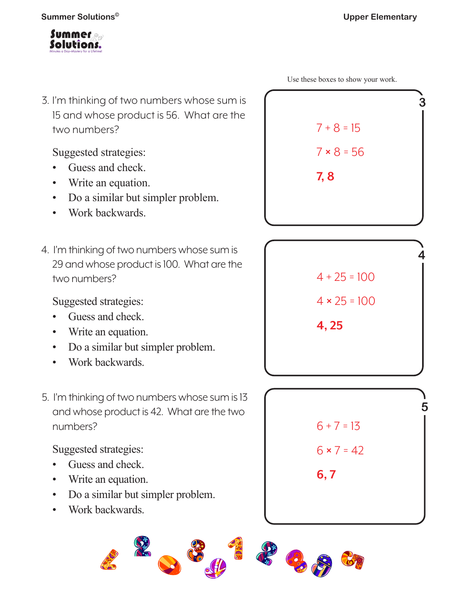

3. I'm thinking of two numbers whose sum is 15 and whose product is 56. What are the two numbers?

Suggested strategies:

- Guess and check.
- Write an equation.
- Do a similar but simpler problem.
- Work backwards.
- 4. I'm thinking of two numbers whose sum is 29 and whose product is 100. What are the two numbers?

Suggested strategies:

- Guess and check.
- Write an equation.
- Do a similar but simpler problem.
- Work backwards.
- 5. I'm thinking of two numbers whose sum is 13 and whose product is 42. What are the two numbers?

Suggested strategies:

- Guess and check.
- Write an equation.
- Do a similar but simpler problem.
- Work backwards.





 $4 \times 25 = 100$ 

**4, 25**



Use these boxes to show your work.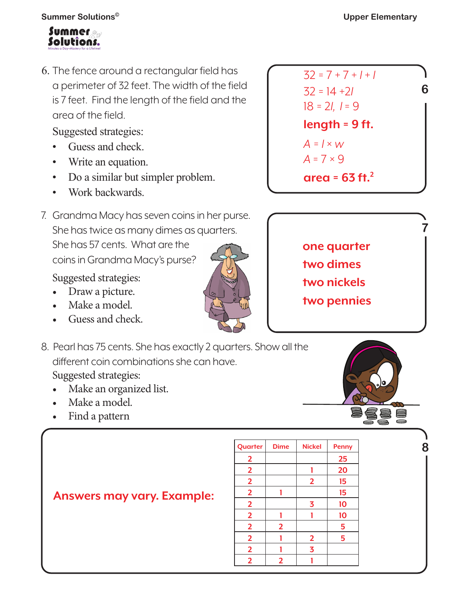

6. The fence around a rectangular field has a perimeter of 32 feet. The width of the field is 7 feet. Find the length of the field and the area of the field.

Suggested strategies:

- Guess and check.
- Write an equation.
- Do a similar but simpler problem.
- Work backwards.
- 7. Grandma Macy has seven coins in her purse. She has twice as many dimes as quarters. She has 57 cents. What are the coins in Grandma Macy's purse?

Suggested strategies:

- Draw a picture.
- Make a model.
- Guess and check.
- 8. Pearl has 75 cents. She has exactly 2 quarters. Show all the different coin combinations she can have. Suggested strategies:
	- Make an organized list.

**Answers may vary. Example:** 

- Make a model.
- Find a pattern

| Quarter                 | <b>Dime</b>    | <b>Nickel</b>           | <b>Penny</b> |
|-------------------------|----------------|-------------------------|--------------|
| $\overline{2}$          |                |                         | 25           |
| $\overline{2}$          |                |                         | 20           |
| $\overline{\mathbf{2}}$ |                | $\overline{2}$          | 15           |
| $\overline{2}$          |                |                         | 15           |
| $\overline{2}$          |                | 3                       | 10           |
| $\overline{2}$          |                |                         | 10           |
| $\overline{2}$          | $\overline{2}$ |                         | 5            |
| $\overline{2}$          |                | $\overline{2}$          | 5            |
| $\overline{2}$          |                | $\overline{\mathbf{3}}$ |              |
| $\overline{2}$          | $\overline{2}$ |                         |              |
|                         |                |                         |              |



| one quarter |  |
|-------------|--|
| two dimes   |  |
| two nickels |  |
| two pennies |  |



**8**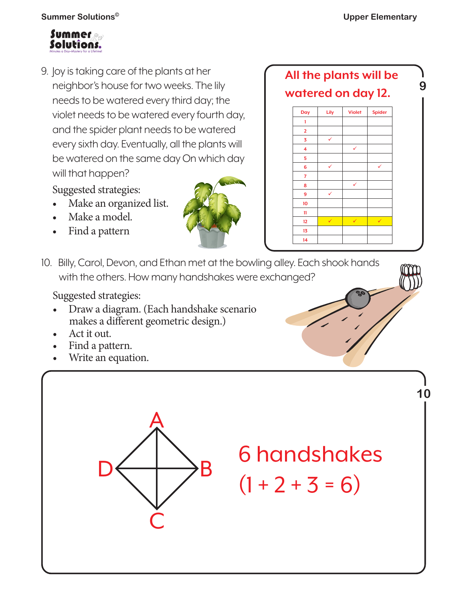**9**



9. Joy is taking care of the plants at her neighbor's house for two weeks. The lily needs to be watered every third day; the violet needs to be watered every fourth day, and the spider plant needs to be watered every sixth day. Eventually, all the plants will be watered on the same day On which day will that happen?

Suggested strategies:

- Make an organized list.
- Make a model.
- Find a pattern



**All the plants will be watered on day 12.**



10. Billy, Carol, Devon, and Ethan met at the bowling alley. Each shook hands with the others. How many handshakes were exchanged?

Suggested strategies:

- Draw a diagram. (Each handshake scenario makes a different geometric design.)
- Act it out.
- Find a pattern.
- Write an equation.